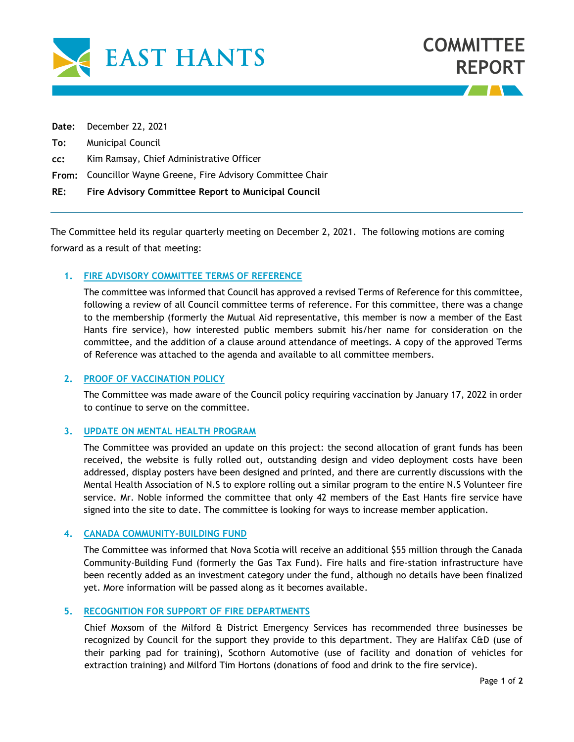

|     | RE: Fire Advisory Committee Report to Municipal Council      |
|-----|--------------------------------------------------------------|
|     | From: Councillor Wayne Greene, Fire Advisory Committee Chair |
| cc: | Kim Ramsay, Chief Administrative Officer                     |
|     | <b>To:</b> Municipal Council                                 |
|     | Date: December 22, 2021                                      |

The Committee held its regular quarterly meeting on December 2, 2021. The following motions are coming forward as a result of that meeting:

### **1. FIRE ADVISORY COMMITTEE TERMS OF REFERENCE**

The committee was informed that Council has approved a revised Terms of Reference for this committee, following a review of all Council committee terms of reference. For this committee, there was a change to the membership (formerly the Mutual Aid representative, this member is now a member of the East Hants fire service), how interested public members submit his/her name for consideration on the committee, and the addition of a clause around attendance of meetings. A copy of the approved Terms of Reference was attached to the agenda and available to all committee members.

# **2. PROOF OF VACCINATION POLICY**

The Committee was made aware of the Council policy requiring vaccination by January 17, 2022 in order to continue to serve on the committee.

#### **3. UPDATE ON MENTAL HEALTH PROGRAM**

The Committee was provided an update on this project: the second allocation of grant funds has been received, the website is fully rolled out, outstanding design and video deployment costs have been addressed, display posters have been designed and printed, and there are currently discussions with the Mental Health Association of N.S to explore rolling out a similar program to the entire N.S Volunteer fire service. Mr. Noble informed the committee that only 42 members of the East Hants fire service have signed into the site to date. The committee is looking for ways to increase member application.

## **4. CANADA COMMUNITY-BUILDING FUND**

The Committee was informed that Nova Scotia will receive an additional \$55 million through the Canada Community-Building Fund (formerly the Gas Tax Fund). Fire halls and fire-station infrastructure have been recently added as an investment category under the fund, although no details have been finalized yet. More information will be passed along as it becomes available.

#### **5. RECOGNITION FOR SUPPORT OF FIRE DEPARTMENTS**

Chief Moxsom of the Milford & District Emergency Services has recommended three businesses be recognized by Council for the support they provide to this department. They are Halifax C&D (use of their parking pad for training), Scothorn Automotive (use of facility and donation of vehicles for extraction training) and Milford Tim Hortons (donations of food and drink to the fire service).